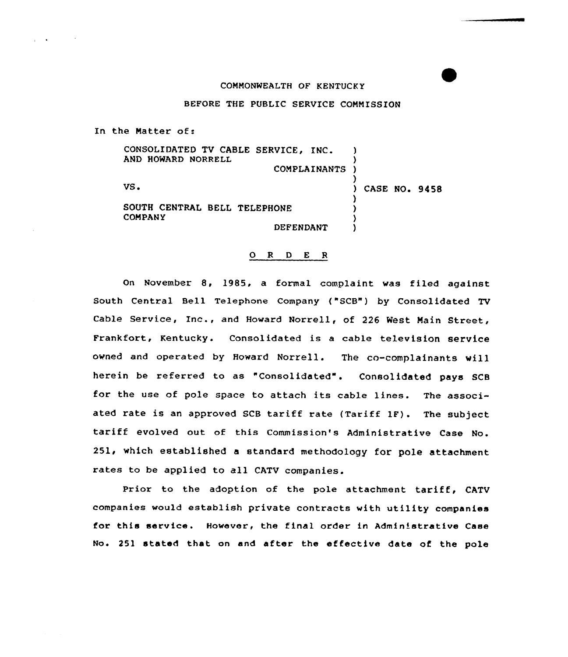## COMMONWEALTH OF KENTUCKY

## BEFORE THE PUBLIC SERVICE COMMISSION

In the Matter of:

| CONSOLIDATED TV CABLE SERVICE, INC.<br>AND.<br>HOWARD NORRELL |                     |               |
|---------------------------------------------------------------|---------------------|---------------|
|                                                               | <b>COMPLAINANTS</b> |               |
| VS.                                                           |                     | CASE NO. 9458 |
| SOUTH CENTRAL BELL TELEPHONE<br><b>COMPANY</b>                |                     |               |
|                                                               | DEFENDANT           |               |

## 0 <sup>R</sup> <sup>D</sup> E <sup>R</sup>

On November 8, 1985, a formal complaint was filed against South Central Bell Telephone Company ("SCB") by Consolidated TV Cable Service, Inc., and Howard Norrell, of <sup>226</sup> West Main Street, Frankfort, Kentucky. Consolidated is <sup>a</sup> cable television service owned and operated by Howard Norrell. The co-complainants will herein be referred to as "Consolidated". Consolidated pays SCB for the use of pole space to attach its cable lines. The associated rate is an approved SCB tariff rate (Tariff 1F). The subject tariff evolved out of this Commission's Administrative Case No. 251, which established a standard methodology for pole attachment rates to be applied to all CATV companies.

Prior to the adoption of the pole attachment tariff, CATV companies would establish private contracts with utility companies for this service. However, the final order ln Administrative Case No. 251 stated that on and after the effective date of the pole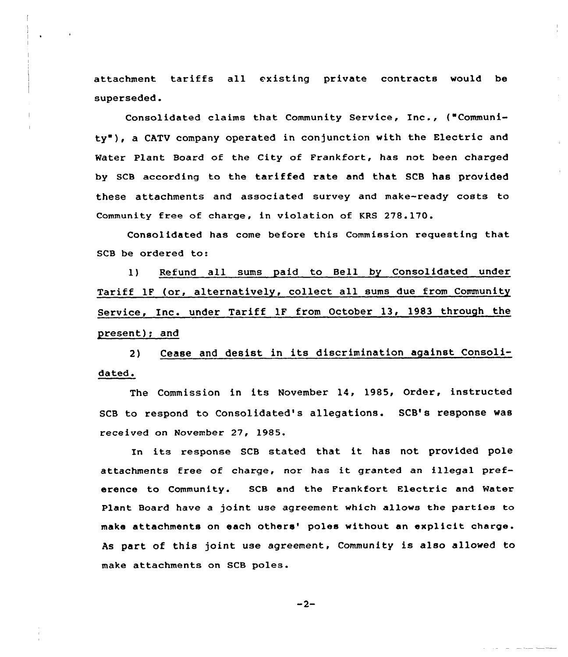attachment tariffs all existing private contracts would be superseded.

Consolidated claims that Community Service, Inc., {"Community"), a CATV company operated in conjunction with the Electric and Water Plant Board of the City of Frankfort, has not been charged by SCB according to the tariffed rate and that SCB has provided these attachments and associated survey and make-ready costs to Community free of charge, in violation of KRS 278.170.

Consolidated has come before this Commission requesting that SCB be ordered to:

1) Refund all sums paid to Bell by Consolidated under Tariff 1F (or, alternatively, collect all sums due from Community Service, Inc. under Tariff 1F from October 13, 1983 through the present); and

2) Cease and desist in its discrimination against Consolidated.

The Commission in its November 14, 1985, Order, instructed SCB to respond to Consolidated's allegations. SCB's response was received on November 27, 1985.

In its response SCB stated that it has not provided pole attachments free of charge, nor has it granted an illegal preference to Community. SCB and the Frankfort Electric and Water Plant Board have a joint use agreement which allows the parties ta make attachments on each others' poles without an explicit charge. As part of this joint use agreement, Community is also allowed to make attachments on SCB poles.

 $-2-$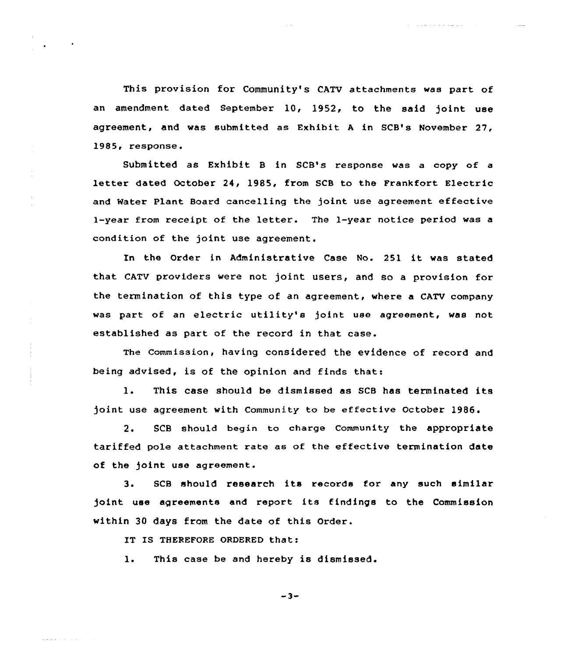This provision for Community's CATV attachments was part of an amendment dated September 10, 1952, to the said joint use agreement, and was submitted as Exhibit <sup>A</sup> in SCB's November 27, 1985, response.

and with a state of the

Submitted as Exhibit <sup>B</sup> in SCB's response was a copy of a letter dated October 24, 1985, from SCB to the Frankfort Electric and Water Plant Board cancelling the joint use agreement effective I-year from receipt of the letter. The 1-year notice period was <sup>a</sup> condition of the joint use agreement.

In the Order in Administrative Case No. 251 it was stated that CATV providers were not joint users, and so a provision for the termination of this type of an agreement, where a CATV company was part of an electric utility's joint use agreement, was not established as part of the record in that case.

The Commission, having considered the evidence of record and being advised, is of the opinion and finds that:

1. This case should be dismissed as SCB has terminated its joint use agreement with Community to be effective October 1986.

2. SCB should begin to charge Community the appropriate tariffed pole attachment rate as of the effective termination date of the joint use agreement.

3. SCB should research its records for any such similar joint use agreements and report its findings to the Commission within 30 days from the date of this Order.

IT IS THEREFORE ORDERED that:

a para series de

1. This case be and hereby is dismissed.

 $-3-$